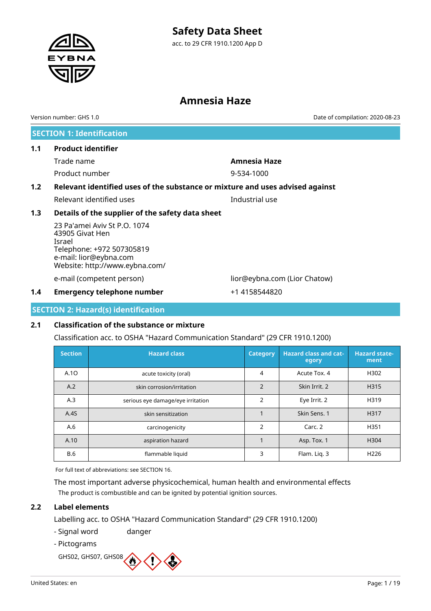acc. to 29 CFR 1910.1200 App D

### **Amnesia Haze**

**SECTION 1: Identification 1.1 Product identifier** Trade name **Amnesia Haze** Product number 9-534-1000 **1.2 Relevant identified uses of the substance or mixture and uses advised against** Relevant identified uses **Industrial use 1.3 Details of the supplier of the safety data sheet** 23 Pa'amei Aviv St P.O. 1074 43905 Givat Hen Israel Telephone: +972 507305819 e-mail: lior@eybna.com Website: http://www.eybna.com/ e-mail (competent person) lior@eybna.com (Lior Chatow) Version number: GHS 1.0 Date of compilation: 2020-08-23

**1.4 Emergency telephone number**  $+1$  4158544820

**SECTION 2: Hazard(s) identification**

#### **2.1 Classification of the substance or mixture**

Classification acc. to OSHA "Hazard Communication Standard" (29 CFR 1910.1200)

| <b>Section</b> | <b>Hazard class</b>               | <b>Category</b> | <b>Hazard class and cat-</b><br>egory | <b>Hazard state-</b><br>ment |
|----------------|-----------------------------------|-----------------|---------------------------------------|------------------------------|
| A.10           | acute toxicity (oral)             | 4               | Acute Tox. 4                          | H302                         |
| A.2            | skin corrosion/irritation         | $\overline{2}$  | Skin Irrit. 2                         | H315                         |
| A.3            | serious eye damage/eye irritation | $\overline{2}$  | Eye Irrit. 2                          | H319                         |
| A.4S           | skin sensitization                |                 | Skin Sens. 1                          | H317                         |
| A.6            | carcinogenicity                   | $\overline{2}$  | Carc. 2                               | H351                         |
| A.10           | aspiration hazard                 |                 | Asp. Tox. 1                           | H304                         |
| <b>B.6</b>     | flammable liquid                  | 3               | Flam. Lig. 3                          | H <sub>226</sub>             |

For full text of abbreviations: see SECTION 16.

The most important adverse physicochemical, human health and environmental effects The product is combustible and can be ignited by potential ignition sources.

#### **2.2 Label elements**

Labelling acc. to OSHA "Hazard Communication Standard" (29 CFR 1910.1200)

- Signal word danger
- Pictograms

GHS02, GHS07, GHS08



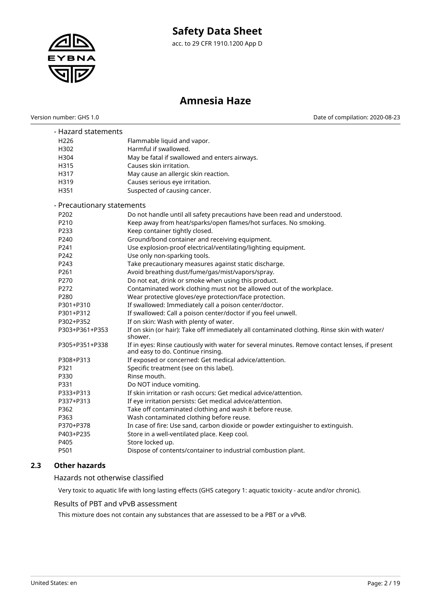

acc. to 29 CFR 1910.1200 App D

### **Amnesia Haze**

Version number: GHS 1.0 Date of compilation: 2020-08-23

| - Hazard statements<br>H <sub>226</sub><br>H302<br>H304<br>H315<br>H317<br>H319 | Flammable liquid and vapor.<br>Harmful if swallowed.<br>May be fatal if swallowed and enters airways.<br>Causes skin irritation.<br>May cause an allergic skin reaction.<br>Causes serious eye irritation. |
|---------------------------------------------------------------------------------|------------------------------------------------------------------------------------------------------------------------------------------------------------------------------------------------------------|
| H351                                                                            | Suspected of causing cancer.                                                                                                                                                                               |
| - Precautionary statements                                                      |                                                                                                                                                                                                            |
| P202                                                                            | Do not handle until all safety precautions have been read and understood.                                                                                                                                  |
| P210                                                                            | Keep away from heat/sparks/open flames/hot surfaces. No smoking.                                                                                                                                           |
| P233                                                                            | Keep container tightly closed.                                                                                                                                                                             |
| P240                                                                            | Ground/bond container and receiving equipment.                                                                                                                                                             |
| P241                                                                            | Use explosion-proof electrical/ventilating/lighting equipment.                                                                                                                                             |
| P242                                                                            | Use only non-sparking tools.                                                                                                                                                                               |
| P243                                                                            | Take precautionary measures against static discharge.                                                                                                                                                      |
| P261                                                                            | Avoid breathing dust/fume/gas/mist/vapors/spray.                                                                                                                                                           |
| P270                                                                            | Do not eat, drink or smoke when using this product.                                                                                                                                                        |
| P272                                                                            | Contaminated work clothing must not be allowed out of the workplace.                                                                                                                                       |
| P280                                                                            | Wear protective gloves/eye protection/face protection.                                                                                                                                                     |
| P301+P310                                                                       | If swallowed: Immediately call a poison center/doctor.                                                                                                                                                     |
| P301+P312                                                                       | If swallowed: Call a poison center/doctor if you feel unwell.                                                                                                                                              |
| P302+P352                                                                       | If on skin: Wash with plenty of water.                                                                                                                                                                     |
| P303+P361+P353                                                                  | If on skin (or hair): Take off immediately all contaminated clothing. Rinse skin with water/<br>shower.                                                                                                    |
| P305+P351+P338                                                                  | If in eyes: Rinse cautiously with water for several minutes. Remove contact lenses, if present<br>and easy to do. Continue rinsing.                                                                        |
| P308+P313                                                                       | If exposed or concerned: Get medical advice/attention.                                                                                                                                                     |
| P321                                                                            | Specific treatment (see on this label).                                                                                                                                                                    |
| P330                                                                            | Rinse mouth.                                                                                                                                                                                               |
| P331                                                                            | Do NOT induce vomiting.                                                                                                                                                                                    |
| P333+P313                                                                       | If skin irritation or rash occurs: Get medical advice/attention.                                                                                                                                           |
| P337+P313                                                                       | If eye irritation persists: Get medical advice/attention.                                                                                                                                                  |
| P362                                                                            | Take off contaminated clothing and wash it before reuse.                                                                                                                                                   |
| P363                                                                            | Wash contaminated clothing before reuse.                                                                                                                                                                   |
| P370+P378                                                                       | In case of fire: Use sand, carbon dioxide or powder extinguisher to extinguish.                                                                                                                            |
| P403+P235                                                                       | Store in a well-ventilated place. Keep cool.                                                                                                                                                               |
| P405                                                                            | Store locked up.                                                                                                                                                                                           |
| P501                                                                            | Dispose of contents/container to industrial combustion plant.                                                                                                                                              |

#### **2.3 Other hazards**

Hazards not otherwise classified

Very toxic to aquatic life with long lasting effects (GHS category 1: aquatic toxicity - acute and/or chronic).

#### Results of PBT and vPvB assessment

This mixture does not contain any substances that are assessed to be a PBT or a vPvB.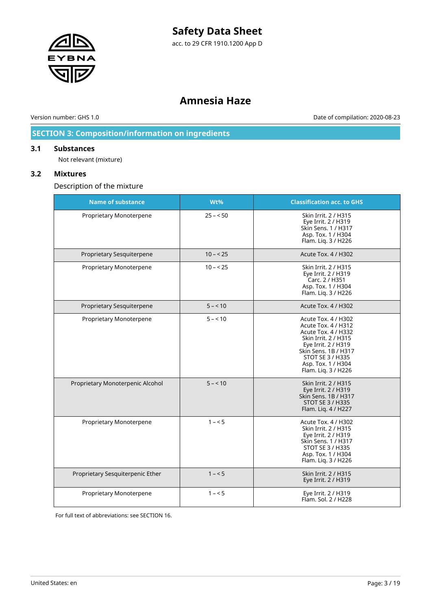

acc. to 29 CFR 1910.1200 App D

### **Amnesia Haze**

Version number: GHS 1.0 Date of compilation: 2020-08-23

### **SECTION 3: Composition/information on ingredients**

#### **3.1 Substances**

Not relevant (mixture)

#### **3.2 Mixtures**

Description of the mixture

| <b>Name of substance</b>         | Wt%       | <b>Classification acc. to GHS</b>                                                                                                                                                                         |
|----------------------------------|-----------|-----------------------------------------------------------------------------------------------------------------------------------------------------------------------------------------------------------|
| Proprietary Monoterpene          | $25 - 50$ | Skin Irrit. 2 / H315<br>Eye Irrit. 2 / H319<br>Skin Sens. 1 / H317<br>Asp. Tox. 1 / H304<br>Flam. Liq. 3 / H226                                                                                           |
| Proprietary Sesquiterpene        | $10 - 25$ | <b>Acute Tox. 4 / H302</b>                                                                                                                                                                                |
| Proprietary Monoterpene          | $10 - 25$ | Skin Irrit. 2 / H315<br>Eye Irrit. 2 / H319<br>Carc. 2 / H351<br>Asp. Tox. 1 / H304<br>Flam. Liq. 3 / H226                                                                                                |
| Proprietary Sesquiterpene        | $5 - 10$  | <b>Acute Tox. 4 / H302</b>                                                                                                                                                                                |
| Proprietary Monoterpene          | $5 - 10$  | Acute Tox. 4 / H302<br>Acute Tox. 4 / H312<br>Acute Tox. 4 / H332<br>Skin Irrit. 2 / H315<br>Eye Irrit. 2 / H319<br>Skin Sens, 1B / H317<br>STOT SE 3 / H335<br>Asp. Tox. 1 / H304<br>Flam. Liq. 3 / H226 |
| Proprietary Monoterpenic Alcohol | $5 - 10$  | Skin Irrit. 2 / H315<br>Eye Irrit. 2 / H319<br>Skin Sens, 1B / H317<br><b>STOT SE 3 / H335</b><br>Flam. Liq. 4 / H227                                                                                     |
| Proprietary Monoterpene          | $1 - 5$   | Acute Tox. 4 / H302<br>Skin Irrit. 2 / H315<br>Eye Irrit. 2 / H319<br>Skin Sens. 1 / H317<br>STOT SE 3 / H335<br>Asp. Tox. 1 / H304<br>Flam. Liq. 3 / H226                                                |
| Proprietary Sesquiterpenic Ether | $1 - 5$   | Skin Irrit. 2 / H315<br>Eye Irrit. 2 / H319                                                                                                                                                               |
| Proprietary Monoterpene          | $1 - 5$   | Eye Irrit. 2 / H319<br>Flam. Sol. 2 / H228                                                                                                                                                                |

For full text of abbreviations: see SECTION 16.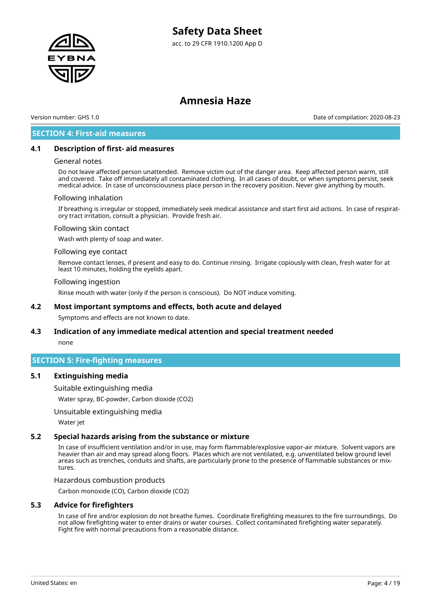



Version number: GHS 1.0 Date of compilation: 2020-08-23

#### **SECTION 4: First-aid measures**

#### **4.1 Description of first- aid measures**

#### General notes

Do not leave affected person unattended. Remove victim out of the danger area. Keep affected person warm, still and covered. Take off immediately all contaminated clothing. In all cases of doubt, or when symptoms persist, seek medical advice. In case of unconsciousness place person in the recovery position. Never give anything by mouth.

#### Following inhalation

If breathing is irregular or stopped, immediately seek medical assistance and start first aid actions. In case of respiratory tract irritation, consult a physician. Provide fresh air.

#### Following skin contact

Wash with plenty of soap and water.

#### Following eye contact

Remove contact lenses, if present and easy to do. Continue rinsing. Irrigate copiously with clean, fresh water for at least 10 minutes, holding the eyelids apart.

#### Following ingestion

Rinse mouth with water (only if the person is conscious). Do NOT induce vomiting.

#### **4.2 Most important symptoms and effects, both acute and delayed**

Symptoms and effects are not known to date.

### **4.3 Indication of any immediate medical attention and special treatment needed**

none

#### **SECTION 5: Fire-fighting measures**

#### **5.1 Extinguishing media**

Suitable extinguishing media

Water spray, BC-powder, Carbon dioxide (CO2)

Unsuitable extinguishing media

Water jet

#### **5.2 Special hazards arising from the substance or mixture**

In case of insufficient ventilation and/or in use, may form flammable/explosive vapor-air mixture. Solvent vapors are heavier than air and may spread along floors. Places which are not ventilated, e.g. unventilated below ground level areas such as trenches, conduits and shafts, are particularly prone to the presence of flammable substances or mixtures.

Hazardous combustion products

Carbon monoxide (CO), Carbon dioxide (CO2)

#### **5.3 Advice for firefighters**

In case of fire and/or explosion do not breathe fumes. Coordinate firefighting measures to the fire surroundings. Do not allow firefighting water to enter drains or water courses. Collect contaminated firefighting water separately. Fight fire with normal precautions from a reasonable distance.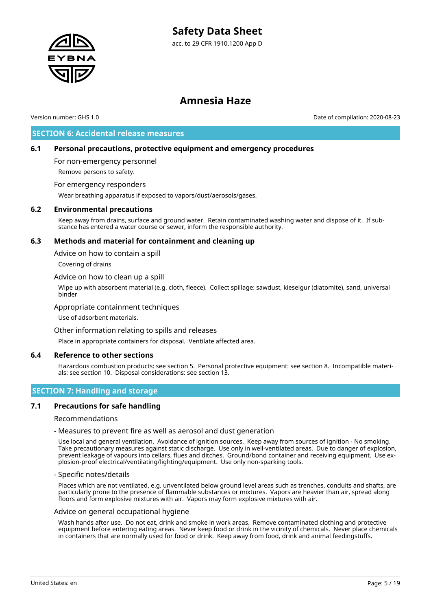

### **Amnesia Haze**

Version number: GHS 1.0 Date of compilation: 2020-08-23

#### **SECTION 6: Accidental release measures**

#### **6.1 Personal precautions, protective equipment and emergency procedures**

For non-emergency personnel Remove persons to safety.

For emergency responders

Wear breathing apparatus if exposed to vapors/dust/aerosols/gases.

#### **6.2 Environmental precautions**

Keep away from drains, surface and ground water. Retain contaminated washing water and dispose of it. If substance has entered a water course or sewer, inform the responsible authority.

#### **6.3 Methods and material for containment and cleaning up**

Advice on how to contain a spill

Covering of drains

Advice on how to clean up a spill

Wipe up with absorbent material (e.g. cloth, fleece). Collect spillage: sawdust, kieselgur (diatomite), sand, universal binder

#### Appropriate containment techniques

Use of adsorbent materials.

Other information relating to spills and releases

Place in appropriate containers for disposal. Ventilate affected area.

#### **6.4 Reference to other sections**

Hazardous combustion products: see section 5. Personal protective equipment: see section 8. Incompatible materials: see section 10. Disposal considerations: see section 13.

#### **SECTION 7: Handling and storage**

#### **7.1 Precautions for safe handling**

Recommendations

- Measures to prevent fire as well as aerosol and dust generation

Use local and general ventilation. Avoidance of ignition sources. Keep away from sources of ignition - No smoking. Take precautionary measures against static discharge. Use only in well-ventilated areas. Due to danger of explosion, prevent leakage of vapours into cellars, flues and ditches. Ground/bond container and receiving equipment. Use explosion-proof electrical/ventilating/lighting/equipment. Use only non-sparking tools.

#### - Specific notes/details

Places which are not ventilated, e.g. unventilated below ground level areas such as trenches, conduits and shafts, are particularly prone to the presence of flammable substances or mixtures. Vapors are heavier than air, spread along floors and form explosive mixtures with air. Vapors may form explosive mixtures with air.

#### Advice on general occupational hygiene

Wash hands after use. Do not eat, drink and smoke in work areas. Remove contaminated clothing and protective equipment before entering eating areas. Never keep food or drink in the vicinity of chemicals. Never place chemicals in containers that are normally used for food or drink. Keep away from food, drink and animal feedingstuffs.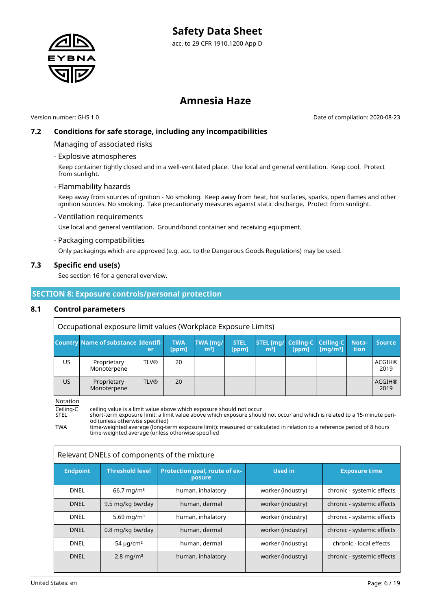

Version number: GHS 1.0 Date of compilation: 2020-08-23

#### **7.2 Conditions for safe storage, including any incompatibilities**

#### Managing of associated risks

- Explosive atmospheres

Keep container tightly closed and in a well-ventilated place. Use local and general ventilation. Keep cool. Protect from sunlight.

- Flammability hazards

Keep away from sources of ignition - No smoking. Keep away from heat, hot surfaces, sparks, open flames and other ignition sources. No smoking. Take precautionary measures against static discharge. Protect from sunlight.

#### - Ventilation requirements

Use local and general ventilation. Ground/bond container and receiving equipment.

#### - Packaging compatibilities

Only packagings which are approved (e.g. acc. to the Dangerous Goods Regulations) may be used.

#### **7.3 Specific end use(s)**

See section 16 for a general overview.

#### **SECTION 8: Exposure controls/personal protection**

#### **8.1 Control parameters**

Occupational exposure limit values (Workplace Exposure Limits)

|    | <b>Country Name of substance Identifi-</b> | er          | <b>TWA</b><br>[ppm] | TWA [mg/<br>m <sup>3</sup> | <b>STEL</b><br>[ppm] | <b>STEL [mg/ Ceiling-C   Ceiling-C  </b><br>m <sup>3</sup> | [ppm] | $\lceil \text{mq/m}^3 \rceil$ | Nota-<br>tion | <b>Source</b>         |
|----|--------------------------------------------|-------------|---------------------|----------------------------|----------------------|------------------------------------------------------------|-------|-------------------------------|---------------|-----------------------|
| US | Proprietary<br>Monoterpene                 | <b>TLV®</b> | 20                  |                            |                      |                                                            |       |                               |               | <b>ACGIH®</b><br>2019 |
| US | Proprietary<br>Monoterpene                 | <b>TLV®</b> | 20                  |                            |                      |                                                            |       |                               |               | <b>ACGIH®</b><br>2019 |

Notation

Ceiling-C ceiling value is a limit value above which exposure should not occur<br>STEL short-term exposure limit: a limit value above which exposure shoul

short-term exposure limit: a limit value above which exposure should not occur and which is related to a 15-minute period (unless otherwise specified)

TWA time-weighted average (long-term exposure limit): measured or calculated in relation to a reference period of 8 hours time-weighted average (unless otherwise specified

| Relevant DNELs of components of the mixture |                          |                                         |                   |                            |  |
|---------------------------------------------|--------------------------|-----------------------------------------|-------------------|----------------------------|--|
| <b>Endpoint</b>                             | <b>Threshold level</b>   | Protection goal, route of ex-<br>posure | <b>Used in</b>    | <b>Exposure time</b>       |  |
| <b>DNEL</b>                                 | $66.7 \,\mathrm{mq/m^3}$ | human, inhalatory                       | worker (industry) | chronic - systemic effects |  |
| <b>DNEL</b>                                 | 9.5 mg/kg bw/day         | human, dermal                           | worker (industry) | chronic - systemic effects |  |
| <b>DNEL</b>                                 | 5.69 mg/m <sup>3</sup>   | human, inhalatory                       | worker (industry) | chronic - systemic effects |  |
| <b>DNEL</b>                                 | 0.8 mg/kg bw/day         | human, dermal                           | worker (industry) | chronic - systemic effects |  |
| <b>DNEL</b>                                 | $54 \mu q/cm^2$          | human, dermal                           | worker (industry) | chronic - local effects    |  |
| <b>DNEL</b>                                 | $2.8 \,\mathrm{mg/m^3}$  | human, inhalatory                       | worker (industry) | chronic - systemic effects |  |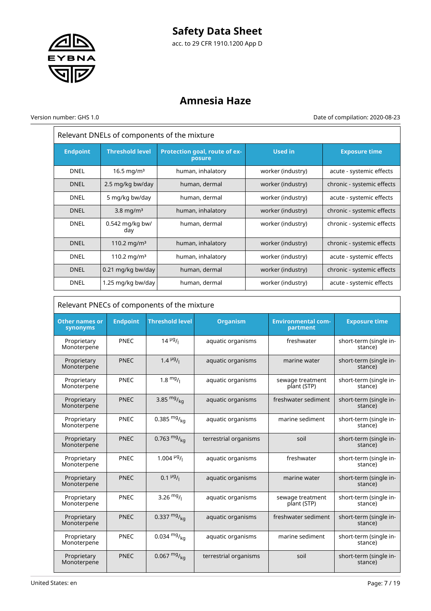

acc. to 29 CFR 1910.1200 App D

## **Amnesia Haze**

Version number: GHS 1.0 Date of compilation: 2020-08-23

| Relevant DNELs of components of the mixture |                          |                                         |                   |                            |  |
|---------------------------------------------|--------------------------|-----------------------------------------|-------------------|----------------------------|--|
| <b>Endpoint</b>                             | <b>Threshold level</b>   | Protection goal, route of ex-<br>posure | <b>Used in</b>    | <b>Exposure time</b>       |  |
| <b>DNEL</b>                                 | 16.5 mg/m <sup>3</sup>   | human, inhalatory                       | worker (industry) | acute - systemic effects   |  |
| <b>DNEL</b>                                 | 2.5 mg/kg bw/day         | human, dermal                           | worker (industry) | chronic - systemic effects |  |
| <b>DNEL</b>                                 | 5 mg/kg bw/day           | human, dermal                           | worker (industry) | acute - systemic effects   |  |
| <b>DNEL</b>                                 | $3.8 \text{ mg/m}^3$     | human, inhalatory                       | worker (industry) | chronic - systemic effects |  |
| <b>DNEL</b>                                 | $0.542$ mg/kg bw/<br>day | human, dermal                           | worker (industry) | chronic - systemic effects |  |
| <b>DNEL</b>                                 | 110.2 mg/m <sup>3</sup>  | human, inhalatory                       | worker (industry) | chronic - systemic effects |  |
| <b>DNEL</b>                                 | 110.2 mg/m <sup>3</sup>  | human, inhalatory                       | worker (industry) | acute - systemic effects   |  |
| <b>DNEL</b>                                 | 0.21 mg/kg bw/day        | human, dermal                           | worker (industry) | chronic - systemic effects |  |
| <b>DNEL</b>                                 | 1.25 mg/kg bw/day        | human, dermal                           | worker (industry) | acute - systemic effects   |  |

| Relevant PNECs of components of the mixture |                 |                          |                       |                                       |                                   |  |
|---------------------------------------------|-----------------|--------------------------|-----------------------|---------------------------------------|-----------------------------------|--|
| <b>Other names or</b><br>synonyms           | <b>Endpoint</b> | <b>Threshold level</b>   | <b>Organism</b>       | <b>Environmental com-</b><br>partment | <b>Exposure time</b>              |  |
| Proprietary<br>Monoterpene                  | <b>PNEC</b>     | $14 \frac{\mu g}{\iota}$ | aquatic organisms     | freshwater                            | short-term (single in-<br>stance) |  |
| Proprietary<br>Monoterpene                  | <b>PNEC</b>     | $1.4 \frac{\mu g}{I}$    | aquatic organisms     | marine water                          | short-term (single in-<br>stance) |  |
| Proprietary<br>Monoterpene                  | PNEC            | $1.8 \frac{mg}{l}$       | aquatic organisms     | sewage treatment<br>plant (STP)       | short-term (single in-<br>stance) |  |
| Proprietary<br>Monoterpene                  | <b>PNEC</b>     | 3.85 $mg/kq$             | aquatic organisms     | freshwater sediment                   | short-term (single in-<br>stance) |  |
| Proprietary<br>Monoterpene                  | PNEC            | 0.385 $mg/_{ka}$         | aquatic organisms     | marine sediment                       | short-term (single in-<br>stance) |  |
| Proprietary<br>Monoterpene                  | <b>PNEC</b>     | 0.763 $mg/_{ka}$         | terrestrial organisms | soil                                  | short-term (single in-<br>stance) |  |
| Proprietary<br>Monoterpene                  | PNEC            | 1.004 $\frac{\mu g}{I}$  | aquatic organisms     | freshwater                            | short-term (single in-<br>stance) |  |
| Proprietary<br>Monoterpene                  | <b>PNEC</b>     | $0.1 \frac{\mu g}{I}$    | aquatic organisms     | marine water                          | short-term (single in-<br>stance) |  |
| Proprietary<br>Monoterpene                  | <b>PNEC</b>     | 3.26 $mg/1$              | aquatic organisms     | sewage treatment<br>plant (STP)       | short-term (single in-<br>stance) |  |
| Proprietary<br>Monoterpene                  | <b>PNEC</b>     | 0.337 $mg/_{ka}$         | aquatic organisms     | freshwater sediment                   | short-term (single in-<br>stance) |  |
| Proprietary<br>Monoterpene                  | PNEC            | $0.034 \frac{mg}{ka}$    | aquatic organisms     | marine sediment                       | short-term (single in-<br>stance) |  |
| Proprietary<br>Monoterpene                  | <b>PNEC</b>     | $0.067 \frac{mg}{ka}$    | terrestrial organisms | soil                                  | short-term (single in-<br>stance) |  |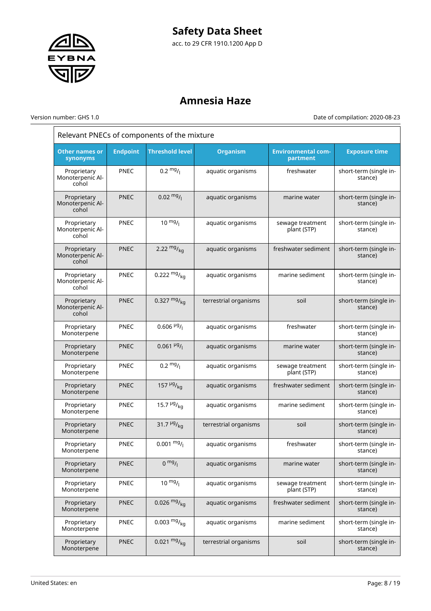

### **Amnesia Haze**

Version number: GHS 1.0 Date of compilation: 2020-08-23

| Relevant PNECs of components of the mixture |                 |                                      |                       |                                       |                                   |  |
|---------------------------------------------|-----------------|--------------------------------------|-----------------------|---------------------------------------|-----------------------------------|--|
| <b>Other names or</b><br>synonyms           | <b>Endpoint</b> | <b>Threshold level</b>               | <b>Organism</b>       | <b>Environmental com-</b><br>partment | <b>Exposure time</b>              |  |
| Proprietary<br>Monoterpenic Al-<br>cohol    | PNEC            | $0.2 \frac{mg}{l}$                   | aquatic organisms     | freshwater                            | short-term (single in-<br>stance) |  |
| Proprietary<br>Monoterpenic Al-<br>cohol    | <b>PNEC</b>     | $0.02 \frac{mg}{l}$                  | aquatic organisms     | marine water                          | short-term (single in-<br>stance) |  |
| Proprietary<br>Monoterpenic Al-<br>cohol    | PNEC            | $10 \frac{mg}{l}$                    | aquatic organisms     | sewage treatment<br>plant (STP)       | short-term (single in-<br>stance) |  |
| Proprietary<br>Monoterpenic Al-<br>cohol    | <b>PNEC</b>     | 2.22 $mg/kq$                         | aquatic organisms     | freshwater sediment                   | short-term (single in-<br>stance) |  |
| Proprietary<br>Monoterpenic Al-<br>cohol    | <b>PNEC</b>     | 0.222 $mg/kq$                        | aquatic organisms     | marine sediment                       | short-term (single in-<br>stance) |  |
| Proprietary<br>Monoterpenic Al-<br>cohol    | <b>PNEC</b>     | 0.327 $mg/kq$                        | terrestrial organisms | soil                                  | short-term (single in-<br>stance) |  |
| Proprietary<br>Monoterpene                  | <b>PNEC</b>     | $0.606$ <sup>µg</sup> / <sub>1</sub> | aquatic organisms     | freshwater                            | short-term (single in-<br>stance) |  |
| Proprietary<br>Monoterpene                  | <b>PNEC</b>     | $0.061 \frac{\mu g}{I}$              | aquatic organisms     | marine water                          | short-term (single in-<br>stance) |  |
| Proprietary<br>Monoterpene                  | <b>PNEC</b>     | $0.2 \frac{mg}{l}$                   | aquatic organisms     | sewage treatment<br>plant (STP)       | short-term (single in-<br>stance) |  |
| Proprietary<br>Monoterpene                  | <b>PNEC</b>     | 157 $\frac{\mu g}{\kappa q}$         | aquatic organisms     | freshwater sediment                   | short-term (single in-<br>stance) |  |
| Proprietary<br>Monoterpene                  | <b>PNEC</b>     | 15.7 $\frac{\mu g}{\kappa q}$        | aquatic organisms     | marine sediment                       | short-term (single in-<br>stance) |  |
| Proprietary<br>Monoterpene                  | <b>PNEC</b>     | 31.7 $\frac{\mu g}{\kappa q}$        | terrestrial organisms | soil                                  | short-term (single in-<br>stance) |  |
| Proprietary<br>Monoterpene                  | PNEC            | $0.001 \frac{mg}{l}$                 | aquatic organisms     | freshwater                            | short-term (single in-<br>stance) |  |
| Proprietary<br>Monoterpene                  | <b>PNEC</b>     | $0 \frac{mg}{l}$                     | aquatic organisms     | marine water                          | short-term (single in-<br>stance) |  |
| Proprietary<br>Monoterpene                  | PNEC            | $10 \frac{mg}{l}$                    | aquatic organisms     | sewage treatment<br>plant (STP)       | short-term (single in-<br>stance) |  |
| Proprietary<br>Monoterpene                  | <b>PNEC</b>     | 0.026 $mg/kq$                        | aquatic organisms     | freshwater sediment                   | short-term (single in-<br>stance) |  |
| Proprietary<br>Monoterpene                  | <b>PNEC</b>     | $0.003 \frac{mg}{kg}$                | aquatic organisms     | marine sediment                       | short-term (single in-<br>stance) |  |
| Proprietary<br>Monoterpene                  | <b>PNEC</b>     | $0.021 \frac{mg}{kg}$                | terrestrial organisms | soil                                  | short-term (single in-<br>stance) |  |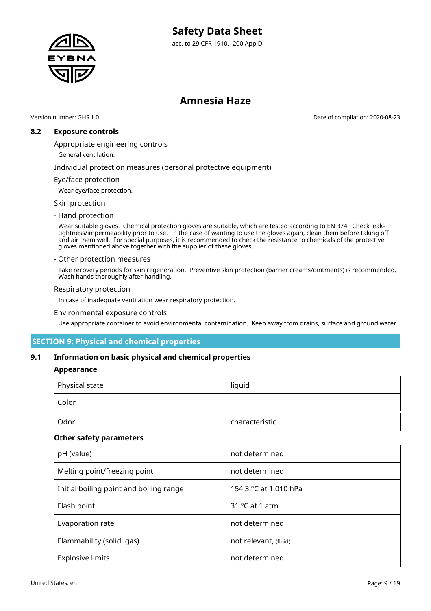acc. to 29 CFR 1910.1200 App D



### **Amnesia Haze**

Version number: GHS 1.0 Date of compilation: 2020-08-23

#### **8.2 Exposure controls**

#### Appropriate engineering controls

General ventilation.

Individual protection measures (personal protective equipment)

#### Eye/face protection

Wear eye/face protection.

#### Skin protection

#### - Hand protection

Wear suitable gloves. Chemical protection gloves are suitable, which are tested according to EN 374. Check leaktightness/impermeability prior to use. In the case of wanting to use the gloves again, clean them before taking off and air them well. For special purposes, it is recommended to check the resistance to chemicals of the protective gloves mentioned above together with the supplier of these gloves.

#### - Other protection measures

Take recovery periods for skin regeneration. Preventive skin protection (barrier creams/ointments) is recommended. Wash hands thoroughly after handling.

#### Respiratory protection

In case of inadequate ventilation wear respiratory protection.

#### Environmental exposure controls

Use appropriate container to avoid environmental contamination. Keep away from drains, surface and ground water.

#### **SECTION 9: Physical and chemical properties**

#### **9.1 Information on basic physical and chemical properties**

#### **Appearance**

| Physical state | liquid         |
|----------------|----------------|
| Color          |                |
| Odor           | characteristic |

#### **Other safety parameters**

| pH (value)                              | not determined          |
|-----------------------------------------|-------------------------|
| Melting point/freezing point            | not determined          |
| Initial boiling point and boiling range | 154.3 °C at 1,010 hPa   |
| Flash point                             | 31 $\degree$ C at 1 atm |
| Evaporation rate                        | not determined          |
| Flammability (solid, gas)               | not relevant, (fluid)   |
| <b>Explosive limits</b>                 | not determined          |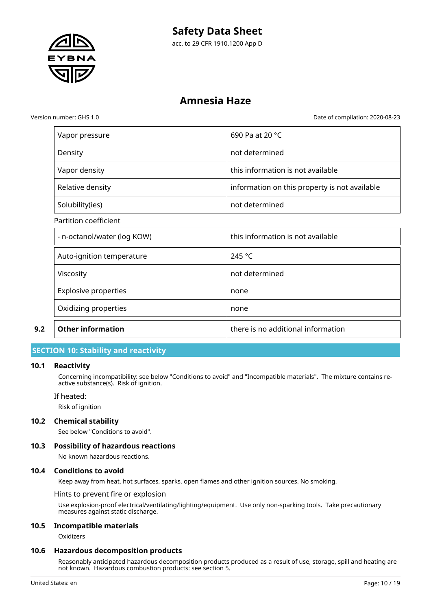

acc. to 29 CFR 1910.1200 App D

### **Amnesia Haze**

Version number: GHS 1.0 Date of compilation: 2020-08-23

| 9.2 | <b>Other information</b>    | there is no additional information            |
|-----|-----------------------------|-----------------------------------------------|
|     | Oxidizing properties        | none                                          |
|     | <b>Explosive properties</b> | none                                          |
|     | Viscosity                   | not determined                                |
|     | Auto-ignition temperature   | 245 °C                                        |
|     | - n-octanol/water (log KOW) | this information is not available             |
|     | Partition coefficient       |                                               |
|     | Solubility(ies)             | not determined                                |
|     | Relative density            | information on this property is not available |
|     | Vapor density               | this information is not available             |
|     | Density                     | not determined                                |
|     | Vapor pressure              | 690 Pa at 20 °C                               |

#### **SECTION 10: Stability and reactivity**

#### **10.1 Reactivity**

Concerning incompatibility: see below "Conditions to avoid" and "Incompatible materials". The mixture contains reactive substance(s). Risk of ignition.

If heated:

Risk of ignition

#### **10.2 Chemical stability**

See below "Conditions to avoid".

#### **10.3 Possibility of hazardous reactions**

No known hazardous reactions.

#### **10.4 Conditions to avoid**

Keep away from heat, hot surfaces, sparks, open flames and other ignition sources. No smoking.

Hints to prevent fire or explosion

Use explosion-proof electrical/ventilating/lighting/equipment. Use only non-sparking tools. Take precautionary measures against static discharge.

#### **10.5 Incompatible materials**

**Oxidizers** 

#### **10.6 Hazardous decomposition products**

Reasonably anticipated hazardous decomposition products produced as a result of use, storage, spill and heating are not known. Hazardous combustion products: see section 5.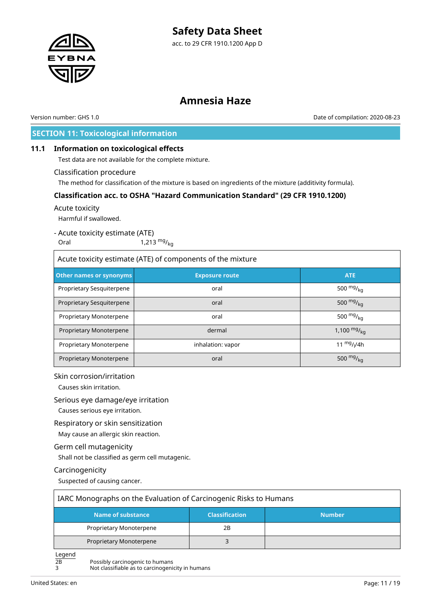

Version number: GHS 1.0 Date of compilation: 2020-08-23

### **SECTION 11: Toxicological information**

#### **11.1 Information on toxicological effects**

Test data are not available for the complete mixture.

#### Classification procedure

The method for classification of the mixture is based on ingredients of the mixture (additivity formula).

#### **Classification acc. to OSHA "Hazard Communication Standard" (29 CFR 1910.1200)**

#### Acute toxicity

Harmful if swallowed.

#### - Acute toxicity estimate (ATE)

Oral  $1,213 \frac{mg}{kg}$ 

| Acute toxicity estimate (ATE) of components of the mixture |                       |                  |  |  |  |
|------------------------------------------------------------|-----------------------|------------------|--|--|--|
| Other names or synonyms                                    | <b>Exposure route</b> | <b>ATE</b>       |  |  |  |
| Proprietary Sesquiterpene                                  | oral                  | 500 $mg/_{kq}$   |  |  |  |
| Proprietary Sesquiterpene                                  | oral                  | 500 $mg/_{ka}$   |  |  |  |
| Proprietary Monoterpene                                    | oral                  | 500 $mg/_{ka}$   |  |  |  |
| Proprietary Monoterpene                                    | dermal                | 1,100 $mg/_{ka}$ |  |  |  |
| Proprietary Monoterpene                                    | inhalation: vapor     | 11 $mg/1/4h$     |  |  |  |
| Proprietary Monoterpene                                    | oral                  | 500 $mg/kq$      |  |  |  |

#### Skin corrosion/irritation

Causes skin irritation.

#### Serious eye damage/eye irritation

Causes serious eye irritation.

#### Respiratory or skin sensitization

May cause an allergic skin reaction.

#### Germ cell mutagenicity

Shall not be classified as germ cell mutagenic.

#### Carcinogenicity

Suspected of causing cancer.

| IARC Monographs on the Evaluation of Carcinogenic Risks to Humans |                       |               |
|-------------------------------------------------------------------|-----------------------|---------------|
| Name of substance                                                 | <b>Classification</b> | <b>Number</b> |
| Proprietary Monoterpene                                           | 2Β                    |               |
| Proprietary Monoterpene                                           |                       |               |

Legend

 $\overline{2B}$  Possibly carcinogenic to humans<br>3 Not classifiable as to carcinogenic

3 Not classifiable as to carcinogenicity in humans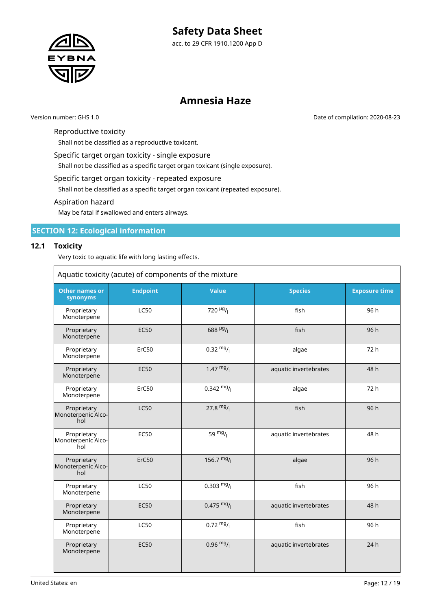

acc. to 29 CFR 1910.1200 App D

### **Amnesia Haze**

Version number: GHS 1.0 Date of compilation: 2020-08-23

٦

#### Reproductive toxicity

Shall not be classified as a reproductive toxicant.

Specific target organ toxicity - single exposure

Shall not be classified as a specific target organ toxicant (single exposure).

#### Specific target organ toxicity - repeated exposure

Shall not be classified as a specific target organ toxicant (repeated exposure).

#### Aspiration hazard

May be fatal if swallowed and enters airways.

#### **SECTION 12: Ecological information**

#### **12.1 Toxicity**

 $\overline{\Gamma}$ 

Very toxic to aquatic life with long lasting effects.

|                                          | Aquatic toxicity (acute) of components of the mixture |                                       |                       |                      |
|------------------------------------------|-------------------------------------------------------|---------------------------------------|-----------------------|----------------------|
| <b>Other names or</b><br>synonyms        | <b>Endpoint</b>                                       | <b>Value</b>                          | <b>Species</b>        | <b>Exposure time</b> |
| Proprietary<br>Monoterpene               | <b>LC50</b>                                           | 720 $\mu$ <sup>g</sup> / <sub>1</sub> | fish                  | 96 h                 |
| Proprietary<br>Monoterpene               | <b>EC50</b>                                           | $688 \frac{\mu g}{I}$                 | fish                  | 96h                  |
| Proprietary<br>Monoterpene               | ErC50                                                 | $0.32 \frac{mg}{l}$                   | algae                 | 72 h                 |
| Proprietary<br>Monoterpene               | <b>EC50</b>                                           | $1.47 \frac{mg}{l}$                   | aquatic invertebrates | 48 h                 |
| Proprietary<br>Monoterpene               | ErC50                                                 | $0.342 \frac{mg}{l}$                  | algae                 | 72 h                 |
| Proprietary<br>Monoterpenic Alco-<br>hol | <b>LC50</b>                                           | $27.8 \text{ mg}/1$                   | fish                  | 96 h                 |
| Proprietary<br>Monoterpenic Alco-<br>hol | <b>EC50</b>                                           | 59 $mg/1$                             | aquatic invertebrates | 48 h                 |
| Proprietary<br>Monoterpenic Alco-<br>hol | ErC50                                                 | 156.7 $mg/$                           | algae                 | 96 h                 |
| Proprietary<br>Monoterpene               | <b>LC50</b>                                           | $0.303 \frac{mg}{l}$                  | fish                  | 96 h                 |
| Proprietary<br>Monoterpene               | <b>EC50</b>                                           | $0.475 \frac{mg}{l}$                  | aquatic invertebrates | 48 h                 |
| Proprietary<br>Monoterpene               | <b>LC50</b>                                           | $0.72 \frac{mg}{l}$                   | fish                  | 96 h                 |
| Proprietary<br>Monoterpene               | <b>EC50</b>                                           | $0.96 \frac{mg}{l}$                   | aquatic invertebrates | 24 h                 |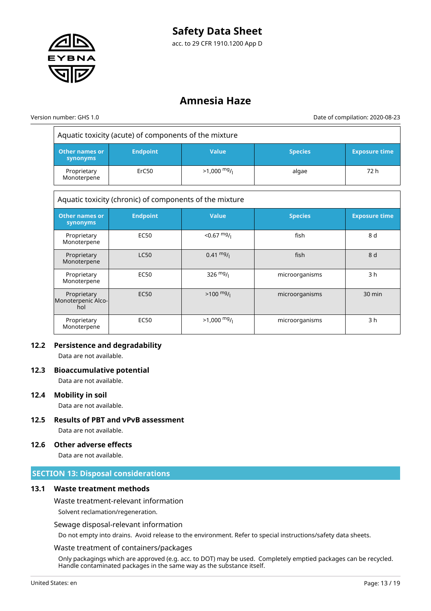

### **Amnesia Haze**

 $\overline{a}$ 

Version number: GHS 1.0 Date of compilation: 2020-08-23

|                                          | Aquatic toxicity (acute) of components of the mixture   |                     |                |                      |
|------------------------------------------|---------------------------------------------------------|---------------------|----------------|----------------------|
| <b>Other names or</b><br>synonyms        | <b>Endpoint</b>                                         | <b>Value</b>        | <b>Species</b> | <b>Exposure time</b> |
| Proprietary<br>Monoterpene               | ErC50                                                   | $>1,000$ mg/        | algae          | 72 h                 |
|                                          | Aquatic toxicity (chronic) of components of the mixture |                     |                |                      |
| <b>Other names or</b><br>synonyms        | <b>Endpoint</b>                                         | <b>Value</b>        | <b>Species</b> | <b>Exposure time</b> |
| Proprietary<br>Monoterpene               | <b>EC50</b>                                             | $<$ 0.67 $mg/$      | fish           | 8 d                  |
| Proprietary<br>Monoterpene               | <b>LC50</b>                                             | $0.41 \frac{mg}{l}$ | fish           | 8 d                  |
| Proprietary<br>Monoterpene               | <b>EC50</b>                                             | 326 $mg/1$          | microorganisms | 3 <sub>h</sub>       |
| Proprietary<br>Monoterpenic Alco-<br>hol | <b>EC50</b>                                             | $>100 \frac{mg}{l}$ | microorganisms | $30 \text{ min}$     |
| Proprietary<br>Monoterpene               | <b>EC50</b>                                             | $>1,000$ mg/        | microorganisms | 3 <sub>h</sub>       |

#### **12.2 Persistence and degradability**

Data are not available.

#### **12.3 Bioaccumulative potential**

Data are not available.

#### **12.4 Mobility in soil**

Data are not available.

**12.5 Results of PBT and vPvB assessment** Data are not available.

#### **12.6 Other adverse effects**

Data are not available.

#### **SECTION 13: Disposal considerations**

#### **13.1 Waste treatment methods**

Waste treatment-relevant information

Solvent reclamation/regeneration.

#### Sewage disposal-relevant information

Do not empty into drains. Avoid release to the environment. Refer to special instructions/safety data sheets.

#### Waste treatment of containers/packages

Only packagings which are approved (e.g. acc. to DOT) may be used. Completely emptied packages can be recycled. Handle contaminated packages in the same way as the substance itself.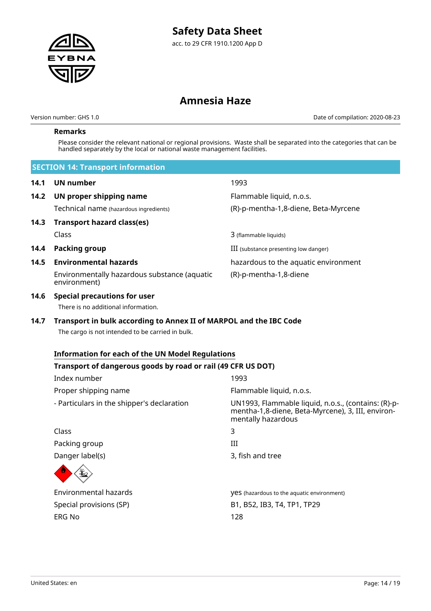

Version number: GHS 1.0 Date of compilation: 2020-08-23

#### **Remarks**

Please consider the relevant national or regional provisions. Waste shall be separated into the categories that can be handled separately by the local or national waste management facilities.

|      | <b>SECTION 14: Transport information</b>                                                                               |                                                                                                                                |
|------|------------------------------------------------------------------------------------------------------------------------|--------------------------------------------------------------------------------------------------------------------------------|
| 14.1 | <b>UN number</b>                                                                                                       | 1993                                                                                                                           |
| 14.2 | UN proper shipping name                                                                                                | Flammable liquid, n.o.s.                                                                                                       |
|      | Technical name (hazardous ingredients)                                                                                 | (R)-p-mentha-1,8-diene, Beta-Myrcene                                                                                           |
| 14.3 | <b>Transport hazard class(es)</b>                                                                                      |                                                                                                                                |
|      | Class                                                                                                                  | 3 (flammable liquids)                                                                                                          |
| 14.4 | <b>Packing group</b>                                                                                                   | III (substance presenting low danger)                                                                                          |
| 14.5 | <b>Environmental hazards</b>                                                                                           | hazardous to the aquatic environment                                                                                           |
|      | Environmentally hazardous substance (aquatic<br>environment)                                                           | (R)-p-mentha-1,8-diene                                                                                                         |
| 14.6 | <b>Special precautions for user</b><br>There is no additional information.                                             |                                                                                                                                |
| 14.7 | Transport in bulk according to Annex II of MARPOL and the IBC Code<br>The cargo is not intended to be carried in bulk. |                                                                                                                                |
|      | <b>Information for each of the UN Model Regulations</b>                                                                |                                                                                                                                |
|      | Transport of dangerous goods by road or rail (49 CFR US DOT)                                                           |                                                                                                                                |
|      | Index number                                                                                                           | 1993                                                                                                                           |
|      | Proper shipping name                                                                                                   | Flammable liquid, n.o.s.                                                                                                       |
|      | - Particulars in the shipper's declaration                                                                             | UN1993, Flammable liquid, n.o.s., (contains: (R)-p-<br>mentha-1,8-diene, Beta-Myrcene), 3, III, environ-<br>mentally hazardous |
|      | Class                                                                                                                  | 3                                                                                                                              |
|      | Packing group                                                                                                          | Ш                                                                                                                              |
|      | Danger label(s)                                                                                                        | 3, fish and tree                                                                                                               |
|      |                                                                                                                        |                                                                                                                                |
|      | <b>Environmental hazards</b>                                                                                           | <b>YES</b> (hazardous to the aquatic environment)                                                                              |
|      | Special provisions (SP)                                                                                                | B1, B52, IB3, T4, TP1, TP29                                                                                                    |
|      | <b>ERG No</b>                                                                                                          | 128                                                                                                                            |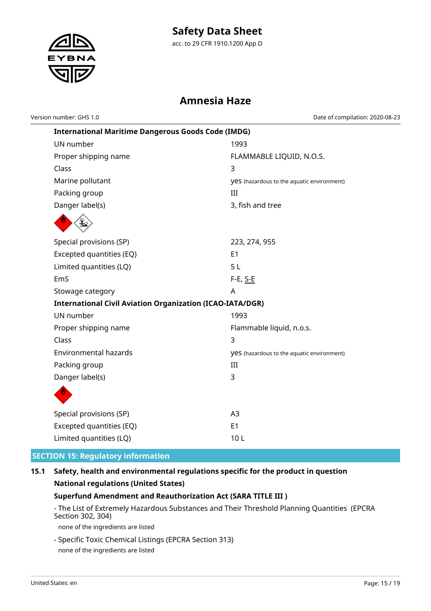

acc. to 29 CFR 1910.1200 App D

### **Amnesia Haze**

Version number: GHS 1.0 Date of compilation: 2020-08-23

| <b>International Maritime Dangerous Goods Code (IMDG)</b>        |                                                   |
|------------------------------------------------------------------|---------------------------------------------------|
| UN number                                                        | 1993                                              |
| Proper shipping name                                             | FLAMMABLE LIQUID, N.O.S.                          |
| Class                                                            | 3                                                 |
| Marine pollutant                                                 | <b>yes</b> (hazardous to the aquatic environment) |
| Packing group                                                    | III                                               |
| Danger label(s)                                                  | 3, fish and tree                                  |
|                                                                  |                                                   |
| Special provisions (SP)                                          | 223, 274, 955                                     |
| Excepted quantities (EQ)                                         | E1                                                |
| Limited quantities (LQ)                                          | 5L                                                |
| EmS                                                              | F-E, S-E                                          |
| Stowage category                                                 | A                                                 |
| <b>International Civil Aviation Organization (ICAO-IATA/DGR)</b> |                                                   |
| UN number                                                        | 1993                                              |
| Proper shipping name                                             | Flammable liquid, n.o.s.                          |
| Class                                                            | 3                                                 |
| <b>Environmental hazards</b>                                     | <b>yes</b> (hazardous to the aquatic environment) |
| Packing group                                                    | III                                               |
| Danger label(s)                                                  | 3                                                 |
|                                                                  |                                                   |
| Special provisions (SP)                                          | A <sub>3</sub>                                    |
| Excepted quantities (EQ)                                         | E1                                                |
| Limited quantities (LQ)                                          | 10L                                               |

### **SECTION 15: Regulatory information**

### **15.1 Safety, health and environmental regulations specific for the product in question National regulations (United States)**

#### **Superfund Amendment and Reauthorization Act (SARA TITLE III )**

- The List of Extremely Hazardous Substances and Their Threshold Planning Quantities (EPCRA Section 302, 304)

none of the ingredients are listed

- Specific Toxic Chemical Listings (EPCRA Section 313) none of the ingredients are listed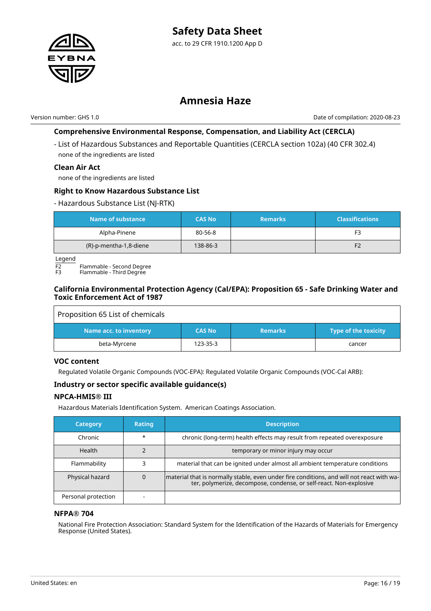

Version number: GHS 1.0 Date of compilation: 2020-08-23

#### **Comprehensive Environmental Response, Compensation, and Liability Act (CERCLA)**

- List of Hazardous Substances and Reportable Quantities (CERCLA section 102a) (40 CFR 302.4) none of the ingredients are listed

#### **Clean Air Act**

none of the ingredients are listed

#### **Right to Know Hazardous Substance List**

#### - Hazardous Substance List (NJ-RTK)

| Name of substance      | <b>CAS No</b> | <b>Remarks</b> | <b>Classifications</b> |
|------------------------|---------------|----------------|------------------------|
| Alpha-Pinene           | 80-56-8       |                | F3                     |
| (R)-p-mentha-1,8-diene | 138-86-3      |                | F <sub>2</sub>         |

Legend

 $\overline{F2}$  Flammable - Second Degree

Flammable - Third Degree

#### **California Environmental Protection Agency (Cal/EPA): Proposition 65 - Safe Drinking Water and Toxic Enforcement Act of 1987**

| Proposition 65 List of chemicals |               |                |                      |
|----------------------------------|---------------|----------------|----------------------|
| Name acc. to inventory           | <b>CAS No</b> | <b>Remarks</b> | Type of the toxicity |
| beta-Myrcene                     | 123-35-3      |                | cancer               |

#### **VOC content**

Regulated Volatile Organic Compounds (VOC-EPA): Regulated Volatile Organic Compounds (VOC-Cal ARB):

#### **Industry or sector specific available guidance(s)**

#### **NPCA-HMIS® III**

Hazardous Materials Identification System. American Coatings Association.

| <b>Category</b>     | <b>Rating</b> | <b>Description</b>                                                                                                                                              |
|---------------------|---------------|-----------------------------------------------------------------------------------------------------------------------------------------------------------------|
| Chronic             | $\star$       | chronic (long-term) health effects may result from repeated overexposure                                                                                        |
| Health              |               | temporary or minor injury may occur                                                                                                                             |
| Flammability        |               | material that can be ignited under almost all ambient temperature conditions                                                                                    |
| Physical hazard     |               | material that is normally stable, even under fire conditions, and will not react with wa-<br>ter, polymerize, decompose, condense, or self-react. Non-explosive |
| Personal protection |               |                                                                                                                                                                 |

#### **NFPA® 704**

National Fire Protection Association: Standard System for the Identification of the Hazards of Materials for Emergency Response (United States).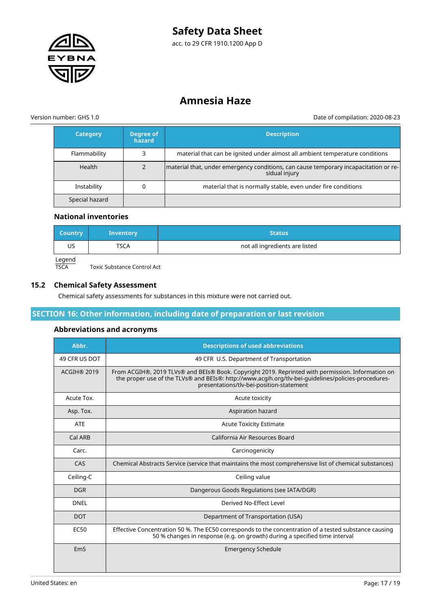

acc. to 29 CFR 1910.1200 App D

### **Amnesia Haze**

Version number: GHS 1.0 Date of compilation: 2020-08-23

| <b>Category</b> | Degree of<br>hazard | <b>Description</b>                                                                                    |
|-----------------|---------------------|-------------------------------------------------------------------------------------------------------|
| Flammability    |                     | material that can be ignited under almost all ambient temperature conditions                          |
| Health          |                     | material that, under emergency conditions, can cause temporary incapacitation or re-<br>sidual injury |
| Instability     | 0                   | material that is normally stable, even under fire conditions                                          |
| Special hazard  |                     |                                                                                                       |

#### **National inventories**

| Country | <b>Inventory</b> | <b>Status</b>                  |
|---------|------------------|--------------------------------|
| US      | TSCA             | not all ingredients are listed |
| Legend  |                  |                                |

TSCA Toxic Substance Control Act

#### **15.2 Chemical Safety Assessment**

Chemical safety assessments for substances in this mixture were not carried out.

#### **SECTION 16: Other information, including date of preparation or last revision**

#### **Abbreviations and acronyms**

| Abbr.              | <b>Descriptions of used abbreviations</b>                                                                                                                                                                                                            |
|--------------------|------------------------------------------------------------------------------------------------------------------------------------------------------------------------------------------------------------------------------------------------------|
| 49 CFR US DOT      | 49 CFR U.S. Department of Transportation                                                                                                                                                                                                             |
| <b>ACGIH® 2019</b> | From ACGIH®, 2019 TLVs® and BEIs® Book. Copyright 2019. Reprinted with permission. Information on<br>the proper use of the TLVs® and BEIs®: http://www.acgih.org/tlv-bei-guidelines/policies-procedures-<br>presentations/tlv-bei-position-statement |
| Acute Tox.         | Acute toxicity                                                                                                                                                                                                                                       |
| Asp. Tox.          | Aspiration hazard                                                                                                                                                                                                                                    |
| <b>ATE</b>         | <b>Acute Toxicity Estimate</b>                                                                                                                                                                                                                       |
| Cal ARB            | California Air Resources Board                                                                                                                                                                                                                       |
| Carc.              | Carcinogenicity                                                                                                                                                                                                                                      |
| CAS                | Chemical Abstracts Service (service that maintains the most comprehensive list of chemical substances)                                                                                                                                               |
| Ceiling-C          | Ceiling value                                                                                                                                                                                                                                        |
| <b>DGR</b>         | Dangerous Goods Regulations (see IATA/DGR)                                                                                                                                                                                                           |
| <b>DNEL</b>        | Derived No-Effect Level                                                                                                                                                                                                                              |
| <b>DOT</b>         | Department of Transportation (USA)                                                                                                                                                                                                                   |
| EC <sub>50</sub>   | Effective Concentration 50 %. The EC50 corresponds to the concentration of a tested substance causing<br>50 % changes in response (e.g. on growth) during a specified time interval                                                                  |
| EmS                | <b>Emergency Schedule</b>                                                                                                                                                                                                                            |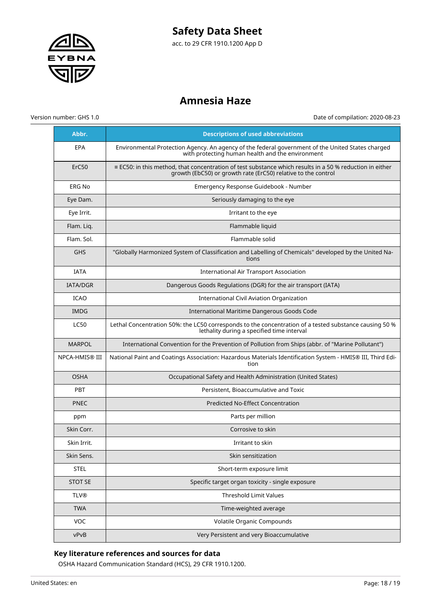

# **Amnesia Haze**

Version number: GHS 1.0 Date of compilation: 2020-08-23

| Abbr.                 | <b>Descriptions of used abbreviations</b>                                                                                                                                        |
|-----------------------|----------------------------------------------------------------------------------------------------------------------------------------------------------------------------------|
| EPA                   | Environmental Protection Agency. An agency of the federal government of the United States charged<br>with protecting human health and the environment                            |
| ErC50                 | $\equiv$ EC50: in this method, that concentration of test substance which results in a 50 % reduction in either<br>growth (EbC50) or growth rate (ErC50) relative to the control |
| <b>ERG No</b>         | Emergency Response Guidebook - Number                                                                                                                                            |
| Eye Dam.              | Seriously damaging to the eye                                                                                                                                                    |
| Eye Irrit.            | Irritant to the eye                                                                                                                                                              |
| Flam. Liq.            | Flammable liquid                                                                                                                                                                 |
| Flam. Sol.            | Flammable solid                                                                                                                                                                  |
| <b>GHS</b>            | "Globally Harmonized System of Classification and Labelling of Chemicals" developed by the United Na-<br>tions                                                                   |
| <b>IATA</b>           | <b>International Air Transport Association</b>                                                                                                                                   |
| <b>IATA/DGR</b>       | Dangerous Goods Regulations (DGR) for the air transport (IATA)                                                                                                                   |
| <b>ICAO</b>           | <b>International Civil Aviation Organization</b>                                                                                                                                 |
| <b>IMDG</b>           | International Maritime Dangerous Goods Code                                                                                                                                      |
| <b>LC50</b>           | Lethal Concentration 50%: the LC50 corresponds to the concentration of a tested substance causing 50 %<br>lethality during a specified time interval                             |
| <b>MARPOL</b>         | International Convention for the Prevention of Pollution from Ships (abbr. of "Marine Pollutant")                                                                                |
|                       |                                                                                                                                                                                  |
| <b>NPCA-HMIS® III</b> | National Paint and Coatings Association: Hazardous Materials Identification System - HMIS® III, Third Edi-<br>tion                                                               |
| <b>OSHA</b>           | Occupational Safety and Health Administration (United States)                                                                                                                    |
| <b>PBT</b>            | Persistent, Bioaccumulative and Toxic                                                                                                                                            |
| <b>PNEC</b>           | Predicted No-Effect Concentration                                                                                                                                                |
| ppm                   | Parts per million                                                                                                                                                                |
| Skin Corr.            | Corrosive to skin                                                                                                                                                                |
| Skin Irrit.           | Irritant to skin                                                                                                                                                                 |
| Skin Sens.            | Skin sensitization                                                                                                                                                               |
| <b>STEL</b>           | Short-term exposure limit                                                                                                                                                        |
| <b>STOT SE</b>        | Specific target organ toxicity - single exposure                                                                                                                                 |
| <b>TLV®</b>           | Threshold Limit Values                                                                                                                                                           |
| <b>TWA</b>            | Time-weighted average                                                                                                                                                            |
| VOC                   | Volatile Organic Compounds                                                                                                                                                       |

### **Key literature references and sources for data**

OSHA Hazard Communication Standard (HCS), 29 CFR 1910.1200.